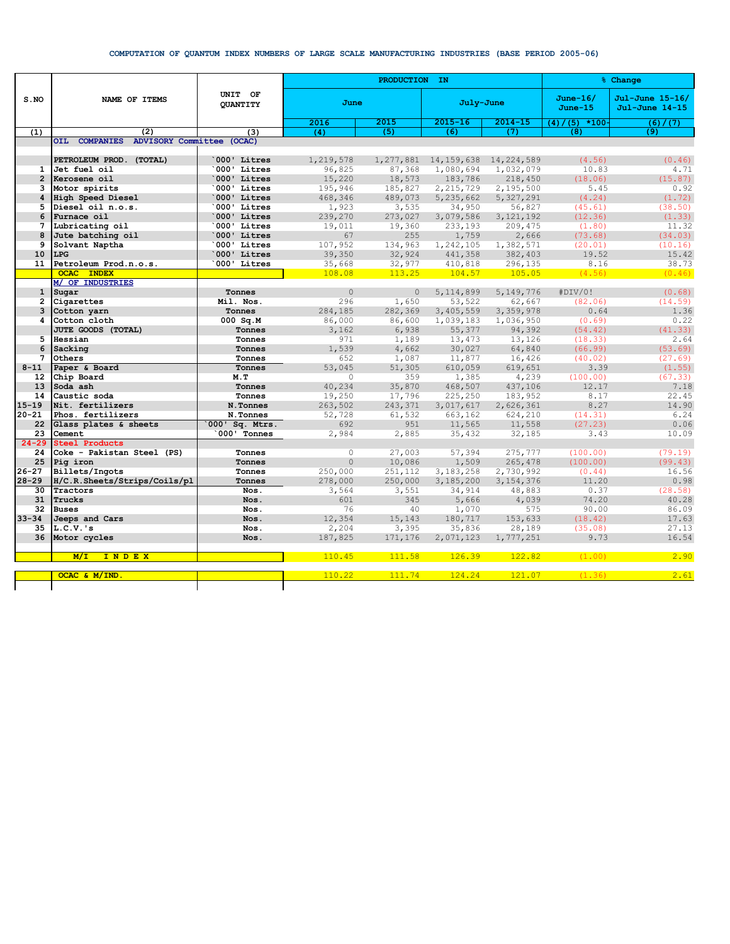## **COMPUTATION OF QUANTUM INDEX NUMBERS OF LARGE SCALE MANUFACTURING INDUSTRIES (BASE PERIOD 2005-06)**

| S.NO           | NAME OF ITEMS                                        | UNIT OF<br><b>QUANTITY</b> |                  | PRODUCTION IN    | <b>&amp; Change</b> |                   |                         |                                   |
|----------------|------------------------------------------------------|----------------------------|------------------|------------------|---------------------|-------------------|-------------------------|-----------------------------------|
|                |                                                      |                            | June             |                  | July-June           |                   | $June-16/$<br>$June-15$ | Jul-June 15-16/<br>Jul-June 14-15 |
|                |                                                      |                            | 2016             | 2015             | $2015 - 16$         | $2014 - 15$       | $*100-$<br>(4)<br>(5)   | (6)<br>(7)                        |
| (1)            | (2)                                                  | (3)                        | (4)              | (5)              | (6)                 | (7)               | (8)                     | (9)                               |
|                | <b>COMPANIES</b><br>ADVISORY Committee (OCAC)<br>OIL |                            |                  |                  |                     |                   |                         |                                   |
|                |                                                      |                            |                  |                  |                     |                   |                         |                                   |
|                | PETROLEUM PROD. (TOTAL)                              | 000' Litres                | 1,219,578        | 1,277,881        | 14, 159, 638        | 14,224,589        | (4.56)                  | (0.46)                            |
| $\mathbf{1}$   | Jet fuel oil                                         | 000' Litres                | 96,825           | 87,368           | 1,080,694           | 1,032,079         | 10.83                   | 4.71                              |
| $\overline{2}$ | Kerosene oil                                         | 000' Litres                | 15,220           | 18,573           | 183,786             | 218,450           | (18.06)                 | (15.87)                           |
| 3              | Motor spirits                                        | 000' Litres                | 195,946          | 185,827          | 2, 215, 729         | 2,195,500         | 5.45                    | 0.92                              |
| 4              | High Speed Diesel                                    | 000' Litres                | 468,346          | 489,073          | 5,235,662           | 5,327,291         | (4.24)                  | (1.72)                            |
| 5              | Diesel oil n.o.s.                                    | 000' Litres                | 1,923            | 3,535            | 34,950              | 56,827            | (45.61)                 | (38.50)                           |
| 6              | Furnace oil                                          | 000' Litres                | 239,270          | 273,027          | 3,079,586           | 3, 121, 192       | (12.36)                 | (1.33)                            |
| 7              | Lubricating oil                                      | 000' Litres<br>000' Litres | 19,011<br>67     | 19,360<br>255    | 233,193             | 209,475           | (1.80)                  | 11.32                             |
| 8<br>9         | Jute batching oil                                    | 000' Litres                |                  |                  | 1,759               | 2,666             | (73.68)                 | (34.03)                           |
| 10             | Solvant Naptha<br>LPG                                | 000' Litres                | 107,952          | 134,963          | 1,242,105           | 1,382,571         | (20.01)                 | (10.16)                           |
| 11             | Petroleum Prod.n.o.s.                                | 000' Litres                | 39,350           | 32,924           | 441,358             | 382,403           | 19.52<br>8.16           | 15.42<br>38.73                    |
|                | <b>OCAC</b><br><b>INDEX</b>                          |                            | 35,668<br>108.08 | 32,977<br>113.25 | 410,818<br>104.57   | 296,135<br>105.05 | (4.56)                  | (0.46)                            |
|                | M/ OF INDUSTRIES                                     |                            |                  |                  |                     |                   |                         |                                   |
| $\mathbf{1}$   | Sugar                                                | Tonnes                     | $\Omega$         | $\circ$          | 5, 114, 899         | 5,149,776         | #DIV/0!                 | (0.68)                            |
| 2              | Cigarettes                                           | Mil. Nos.                  | 296              | 1,650            | 53,522              | 62,667            | (82.06)                 | (14.59)                           |
| 3              | Cotton yarn                                          | Tonnes                     | 284,185          | 282,369          | 3,405,559           | 3,359,978         | 0.64                    | 1.36                              |
| 4              | Cotton cloth                                         | $000$ Sq.M                 | 86,000           | 86,600           | 1,039,183           | 1,036,950         | (0.69)                  | 0.22                              |
|                | JUTE GOODS (TOTAL)                                   | Tonnes                     | 3,162            | 6,938            | 55,377              | 94,392            | (54.42)                 | (41.33)                           |
| 5              | Hessian                                              | Tonnes                     | 971              | 1,189            | 13,473              | 13,126            | (18.33)                 | 2.64                              |
| 6              | Sacking                                              | Tonnes                     | 1,539            | 4,662            | 30,027              | 64,840            | (66.99)                 | (53.69)                           |
| 7              | Others                                               | Tonnes                     | 652              | 1,087            | 11,877              | 16,426            | (40.02)                 | (27.69)                           |
| $8 - 11$       | Paper & Board                                        | Tonnes                     | 53,045           | 51,305           | 610,059             | 619,651           | 3.39                    | (1.55)                            |
| 12             | Chip Board                                           | M.T                        | $\circ$          | 359              | 1,385               | 4,239             | (100.00)                | (67.33)                           |
| 13             | Soda ash                                             | Tonnes                     | 40,234           | 35,870           | 468,507             | 437,106           | 12.17                   | 7.18                              |
| 14             | Caustic soda                                         | Tonnes                     | 19,250           | 17,796           | 225,250             | 183,952           | 8.17                    | 22.45                             |
| $15 - 19$      | Nit. fertilizers                                     | N.Tonnes                   | 263,502          | 243,371          | 3,017,617           | 2,626,361         | 8.27                    | 14.90                             |
| $20 - 21$      | Phos. fertilizers                                    | N.Tonnes                   | 52,728           | 61,532           | 663,162             | 624,210           | (14.31)                 | 6.24                              |
| 22             | Glass plates & sheets                                | $000'$ Sq. Mtrs.           | 692              | 951              | 11,565              | 11,558            | (27.23)                 | 0.06                              |
| 23             | Cement                                               | 000' Tonnes                | 2,984            | 2,885            | 35,432              | 32,185            | 3.43                    | 10.09                             |
| $24 - 29$      | <b>Steel Products</b>                                |                            |                  |                  |                     |                   |                         |                                   |
| 24             | Coke - Pakistan Steel (PS)                           | Tonnes                     | $\circ$          | 27,003           | 57,394              | 275,777           | (100.00)                | (79.19)                           |
| 25             | Pig iron                                             | Tonnes                     | $\Omega$         | 10,086           | 1,509               | 265,478           | (100.00)                | (99.43)                           |
| $26 - 27$      | Billets/Ingots                                       | Tonnes                     | 250,000          | 251,112          | 3, 183, 258         | 2,730,992         | (0.44)                  | 16.56                             |
| $28 - 29$      | H/C.R.Sheets/Strips/Coils/pl                         | Tonnes                     | 278,000          | 250,000          | 3,185,200           | 3, 154, 376       | 11.20                   | 0.98                              |
| 30             | Tractors                                             | Nos.                       | 3,564            | 3,551            | 34,914              | 48,883            | 0.37                    | (28.58)                           |
| 31             | Trucks                                               | Nos.                       | 601              | 345              | 5,666               | 4,039             | 74.20                   | 40.28                             |
| 32             | <b>Buses</b>                                         | Nos.                       | 76               | 40               | 1,070               | 575               | 90.00                   | 86.09                             |
| $33 - 34$      | Jeeps and Cars                                       | Nos.                       | 12,354           | 15,143           | 180,717             | 153,633           | (18.42)                 | 17.63                             |
| 35             | $L.C.V.$ 's                                          | Nos.                       | 2,204            | 3,395            | 35,836              | 28,189            | (35.08)                 | 27.13                             |
| 36             | Motor cycles                                         | Nos.                       | 187,825          | 171,176          | 2,071,123           | 1,777,251         | 9.73                    | 16.54                             |
|                |                                                      |                            |                  |                  |                     |                   |                         |                                   |
|                | M/L<br>INDEX                                         |                            | 110.45           | 111.58           | 126.39              | 122.82            | (1.00)                  | 2.90                              |
|                |                                                      |                            |                  |                  |                     |                   |                         |                                   |
|                | OCAC & M/IND                                         |                            | 110.22           | 111.74           | 124.24              | 121.07            | (1.36)                  | 2.61                              |